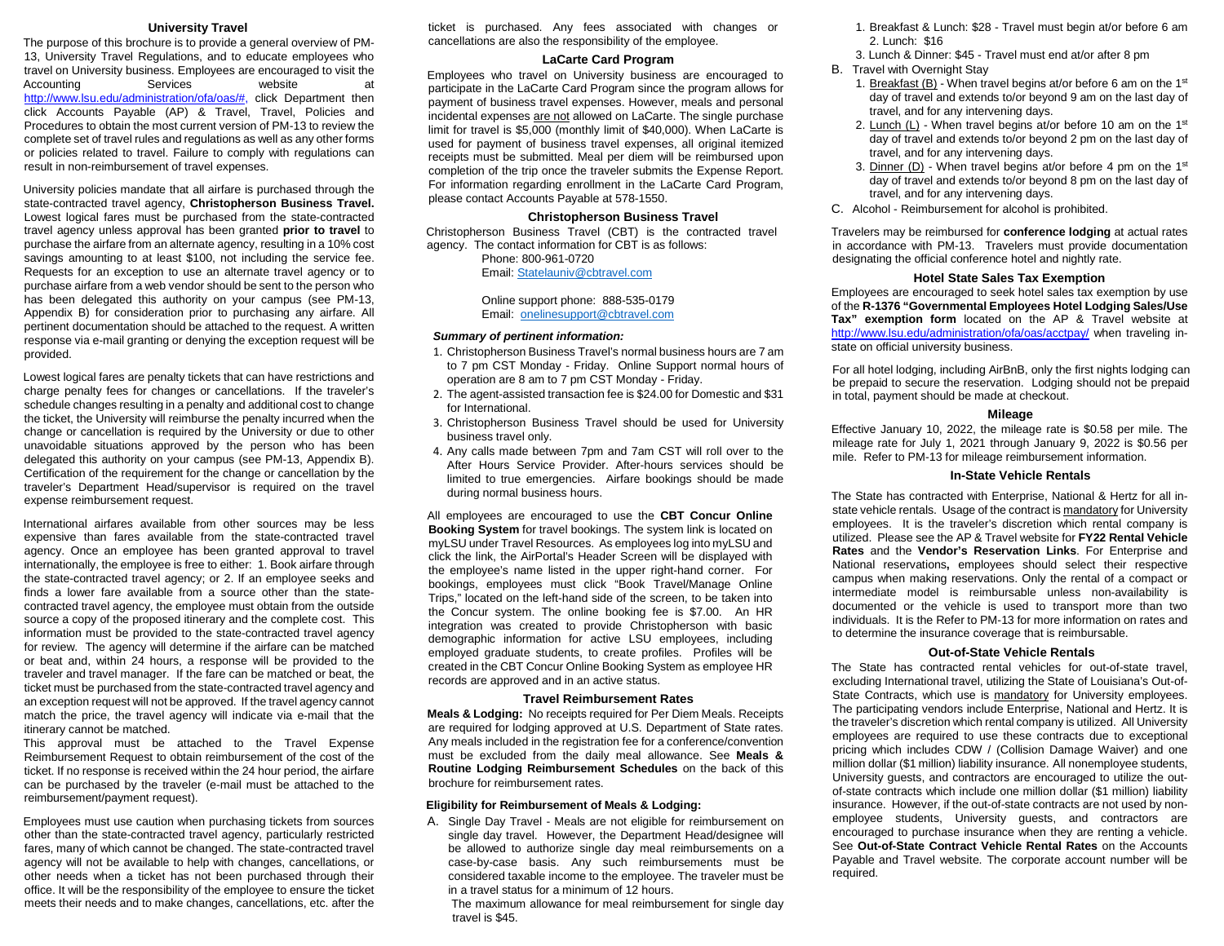#### **University Travel**

 The purpose of this brochure is to provide a general overview of PM-Accounting Services website at click Accounts Payable (AP) & Travel, Travel, Policies and complete set of travel rules and regulations as well as any other forms 13, University Travel Regulations, and to educate employees who travel on University business. Employees are encouraged to visit the [http://www.lsu.edu/administration/ofa/oas/#, c](http://www.lsu.edu/administration/ofa/oas/)lick Department then Procedures to obtain the most current version of PM-13 to review the or policies related to travel. Failure to comply with regulations can result in non-reimbursement of travel expenses.

 University policies mandate that all airfare is purchased through the state-contracted travel agency, **Christopherson Business Travel.**  Lowest logical fares must be purchased from the state-contracted purchase the airfare from an alternate agency, resulting in a 10% cost savings amounting to at least \$100, not including the service fee. purchase airfare from a web vendor should be sent to the person who Appendix B) for consideration prior to purchasing any airfare. All pertinent documentation should be attached to the request. A written response via e-mail granting or denying the exception request will be provided. travel agency unless approval has been granted **prior to travel** to Requests for an exception to use an alternate travel agency or to has been delegated this authority on your campus (see PM-13,

 charge penalty fees for changes or cancellations. If the traveler's schedule changes resulting in a penalty and additional cost to change change or cancellation is required by the University or due to other traveler's Department Head/supervisor is required on the travel expense reimbursement request. Lowest logical fares are penalty tickets that can have restrictions and the ticket, the University will reimburse the penalty incurred when the unavoidable situations approved by the person who has been delegated this authority on your campus (see PM-13, Appendix B). Certification of the requirement for the change or cancellation by the

 agency. Once an employee has been granted approval to travel internationally, the employee is free to either: 1. Book airfare through source a copy of the proposed itinerary and the complete cost. This for review. The agency will determine if the airfare can be matched or beat and, within 24 hours, a response will be provided to the traveler and travel manager. If the fare can be matched or beat, the an exception request will not be approved. If the travel agency cannot match the price, the travel agency will indicate via e-mail that the International airfares available from other sources may be less expensive than fares available from the state-contracted travel the state-contracted travel agency; or 2. If an employee seeks and finds a lower fare available from a source other than the statecontracted travel agency, the employee must obtain from the outside information must be provided to the state-contracted travel agency ticket must be purchased from the state-contracted travel agency and itinerary cannot be matched.

 This approval must be attached to the Travel Expense Reimbursement Request to obtain reimbursement of the cost of the ticket. If no response is received within the 24 hour period, the airfare can be purchased by the traveler (e-mail must be attached to the reimbursement/payment request).

 Employees must use caution when purchasing tickets from sources other than the state-contracted travel agency, particularly restricted agency will not be available to help with changes, cancellations, or other needs when a ticket has not been purchased through their meets their needs and to make changes, cancellations, etc. after the fares, many of which cannot be changed. The state-contracted travel office. It will be the responsibility of the employee to ensure the ticket

 ticket is purchased. Any fees associated with changes or cancellations are also the responsibility of the employee.

#### **LaCarte Card Program**

 Employees who travel on University business are encouraged to payment of business travel expenses. However, meals and personal completion of the trip once the traveler submits the Expense Report. participate in the LaCarte Card Program since the program allows for incidental expenses are not allowed on LaCarte. The single purchase limit for travel is \$5,000 (monthly limit of \$40,000). When LaCarte is used for payment of business travel expenses, all original itemized receipts must be submitted. Meal per diem will be reimbursed upon For information regarding enrollment in the LaCarte Card Program, please contact Accounts Payable at 578-1550.

### **Christopherson Business Travel**

 Christopherson Business Travel (CBT) is the contracted travel agency. The contact information for CBT is as follows:

Phone: 800-961-0720 Email[: Statelauniv@cbtravel.com](mailto:Statelauniv@cbtravel.com) 

Online support phone: 888-535-0179 Email: onelinesupport@cbtravel.com

#### *Summary of pertinent information:*

- to 7 pm CST Monday Friday. Online Support normal hours of operation are 8 am to 7 pm CST Monday - Friday. 1. Christopherson Business Travel's normal business hours are 7 am
- 2. The agent-assisted transaction fee is \$24.00 for Domestic and \$31 for International.
- 3. Christopherson Business Travel should be used for University business travel only.
- 4. Any calls made between 7pm and 7am CST will roll over to the After Hours Service Provider. After-hours services should be limited to true emergencies. Airfare bookings should be made during normal business hours.

 **Booking System** for travel bookings. The system link is located on myLSU under Travel Resources. As employees log into myLSU and the employee's name listed in the upper right-hand corner. For bookings, employees must click "Book Travel/Manage Online Trips," located on the left-hand side of the screen, to be taken into the Concur system. The online booking fee is \$7.00. An HR integration was created to provide Christopherson with basic demographic information for active LSU employees, including employed graduate students, to create profiles. Profiles will be records are approved and in an active status. All employees are encouraged to use the CBT Concur Online click the link, the AirPortal's Header Screen will be displayed with created in the CBT Concur Online Booking System as employee HR

#### **Travel Reimbursement Rates**

 **Meals & Lodging:** No receipts required for Per Diem Meals. Receipts are required for lodging approved at U.S. Department of State rates. Any meals included in the registration fee for a conference/convention must be excluded from the daily meal allowance. See **Meals & Routine Lodging Reimbursement Schedules** on the back of this brochure for reimbursement rates.

#### **Eligibility for Reimbursement of Meals & Lodging:**

- considered taxable income to the employee. The traveler must be A. Single Day Travel - Meals are not eligible for reimbursement on single day travel. However, the Department Head/designee will be allowed to authorize single day meal reimbursements on a case-by-case basis. Any such reimbursements must be in a travel status for a minimum of 12 hours.
	- The maximum allowance for meal reimbursement for single day travel is \$45.
- 1. Breakfast & Lunch: \$28 Travel must begin at/or before 6 am 2. Lunch: \$16
- 3. Lunch & Dinner: \$45 Travel must end at/or after 8 pm
- B. Travel with Overnight Stay
	- 1. Breakfast  $(B)$  When travel begins at/or before 6 am on the 1st travel, and for any intervening days. day of travel and extends to/or beyond 9 am on the last day of
	- 2. Lunch (L) When travel begins at/or before 10 am on the 1st travel, and for any intervening days. day of travel and extends to/or beyond 2 pm on the last day of
	- 3. Dinner (D) When travel begins at/or before 4 pm on the 1<sup>st</sup> travel, and for any intervening days. day of travel and extends to/or beyond 8 pm on the last day of
- C. Alcohol Reimbursement for alcohol is prohibited.

 Travelers may be reimbursed for **conference lodging** at actual rates in accordance with PM-13. Travelers must provide documentation designating the official conference hotel and nightly rate.

#### **Hotel State Sales Tax Exemption**

 Employees are encouraged to seek hotel sales tax exemption by use state on official university business. of the **R-1376 "Governmental Employees Hotel Lodging Sales/Use Tax" exemption form** located on the AP & Travel website at <http://www.lsu.edu/administration/ofa/oas/acctpay/>when traveling in-

 be prepaid to secure the reservation. Lodging should not be prepaid in total, payment should be made at checkout. For all hotel lodging, including AirBnB, only the first nights lodging can

#### **Mileage**

 mile. Refer to PM-13 for mileage reimbursement information. Effective January 10, 2022, the mileage rate is \$0.58 per mile. The mileage rate for July 1, 2021 through January 9, 2022 is \$0.56 per

#### **In-State Vehicle Rentals**

 utilized. Please see the AP & Travel website for **FY22 Rental Vehicle**  National reservations**,** employees should select their respective intermediate model is reimbursable unless non-availability is documented or the vehicle is used to transport more than two individuals. It is the Refer to PM-13 for more information on rates and The State has contracted with Enterprise, National & Hertz for all instate vehicle rentals. Usage of the contract is mandatory for University employees. It is the traveler's discretion which rental company is **Rates** and the **Vendor's Reservation Links**. For Enterprise and campus when making reservations. Only the rental of a compact or to determine the insurance coverage that is reimbursable.

#### **Out-of-State Vehicle Rentals**

State Contracts, which use is mandatory for University employees. the traveler's discretion which rental company is utilized. All University pricing which includes CDW / (Collision Damage Waiver) and one million dollar (\$1 million) liability insurance. All nonemployee students, University guests, and contractors are encouraged to utilize the out- of-state contracts which include one million dollar (\$1 million) liability insurance. However, if the out-of-state contracts are not used by non- encouraged to purchase insurance when they are renting a vehicle. The State has contracted rental vehicles for out-of-state travel, excluding International travel, utilizing the State of Louisiana's Out-of-The participating vendors include Enterprise, National and Hertz. It is employees are required to use these contracts due to exceptional employee students, University guests, and contractors are See **Out-of-State Contract Vehicle Rental Rates** on the Accounts Payable and Travel website. The corporate account number will be required.